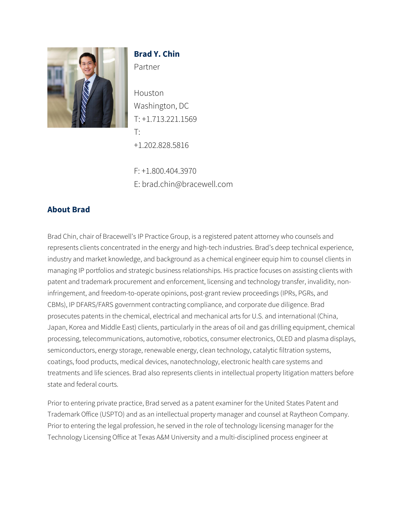

# **Brad Y. Chin** Partner

Houston Washington, DC T: +1.713.221.1569 T: +1.202.828.5816

F: +1.800.404.3970 E: brad.chin@bracewell.com

## **About Brad**

Brad Chin, chair of Bracewell's IP Practice Group, is a registered patent attorney who counsels and represents clients concentrated in the energy and high-tech industries. Brad's deep technical experience, industry and market knowledge, and background as a chemical engineer equip him to counsel clients in managing IP portfolios and strategic business relationships. His practice focuses on assisting clients with patent and trademark procurement and enforcement, licensing and technology transfer, invalidity, noninfringement, and freedom-to-operate opinions, post-grant review proceedings (IPRs, PGRs, and CBMs), IP DFARS/FARS government contracting compliance, and corporate due diligence. Brad prosecutes patents in the chemical, electrical and mechanical arts for U.S. and international (China, Japan, Korea and Middle East) clients, particularly in the areas of oil and gas drilling equipment, chemical processing, telecommunications, automotive, robotics, consumer electronics, OLED and plasma displays, semiconductors, energy storage, renewable energy, clean technology, catalytic filtration systems, coatings, food products, medical devices, nanotechnology, electronic health care systems and treatments and life sciences. Brad also represents clients in intellectual property litigation matters before state and federal courts.

Prior to entering private practice, Brad served as a patent examiner for the United States Patent and Trademark Office (USPTO) and as an intellectual property manager and counsel at Raytheon Company. Prior to entering the legal profession, he served in the role of technology licensing manager for the Technology Licensing Office at Texas A&M University and a multi-disciplined process engineer at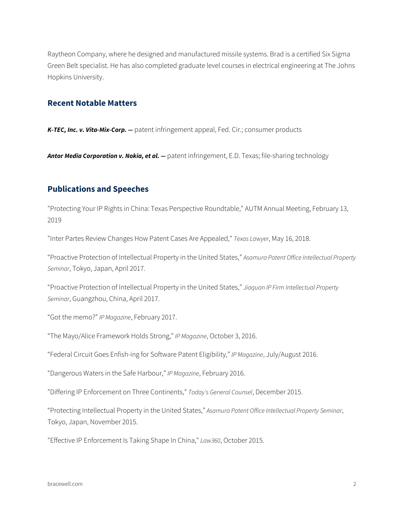Raytheon Company, where he designed and manufactured missile systems. Brad is a certified Six Sigma Green Belt specialist. He has also completed graduate level courses in electrical engineering at The Johns Hopkins University.

#### **Recent Notable Matters**

*K-TEC, Inc. v. Vita-Mix-Corp. —* patent infringement appeal, Fed. Cir.; consumer products

Antor Media Corporation v. Nokia, et al. - patent infringement, E.D. Texas; file-sharing technology

### **Publications and Speeches**

"Protecting Your IP Rights in China: Texas Perspective Roundtable," AUTM Annual Meeting, February 13, 2019

"Inter Partes Review Changes How Patent Cases Are Appealed," *Texas Lawyer*, May 16, 2018.

"Proactive Protection of Intellectual Property in the United States," *Asamura Patent Office Intellectual Property Seminar*, Tokyo, Japan, April 2017.

"Proactive Protection of Intellectual Property in the United States," *Jiaquan IP Firm Intellectual Property Seminar*, Guangzhou, China, April 2017.

"Got the memo?" *IP Magazine*, February 2017.

"The Mayo/Alice Framework Holds Strong," *IP Magazine*, October 3, 2016.

"Federal Circuit Goes Enfish-ing for Software Patent Eligibility," *IP Magazine*, July/August 2016.

"Dangerous Waters in the Safe Harbour," *IP Magazine*, February 2016.

"Differing IP Enforcement on Three Continents," *Today's General Counsel*, December 2015.

"Protecting Intellectual Property in the United States," *Asamura Patent Office Intellectual Property Seminar*, Tokyo, Japan, November 2015.

"Effective IP Enforcement Is Taking Shape In China," *Law360*, October 2015.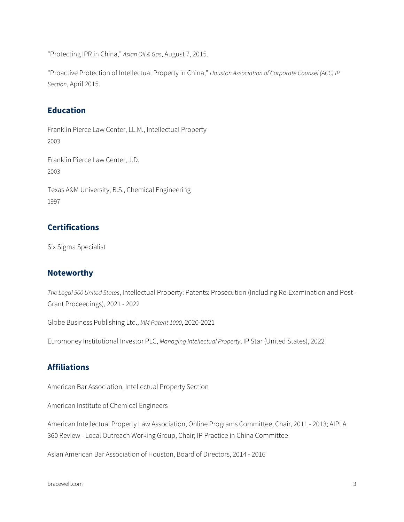"Protecting IPR in China," *Asian Oil & Gas*, August 7, 2015.

"Proactive Protection of Intellectual Property in China," *Houston Association of Corporate Counsel (ACC) IP Section*, April 2015.

### **Education**

Franklin Pierce Law Center, LL.M., Intellectual Property 2003 Franklin Pierce Law Center, J.D. 2003 Texas A&M University, B.S., Chemical Engineering 1997

### **Certifications**

Six Sigma Specialist

#### **Noteworthy**

*The Legal 500 United States*, Intellectual Property: Patents: Prosecution (Including Re-Examination and Post-Grant Proceedings), 2021 - 2022

Globe Business Publishing Ltd., *IAM Patent 1000*, 2020-2021

Euromoney Institutional Investor PLC, *Managing Intellectual Property*, IP Star (United States), 2022

## **Affiliations**

American Bar Association, Intellectual Property Section

American Institute of Chemical Engineers

American Intellectual Property Law Association, Online Programs Committee, Chair, 2011 - 2013; AIPLA 360 Review - Local Outreach Working Group, Chair; IP Practice in China Committee

Asian American Bar Association of Houston, Board of Directors, 2014 - 2016